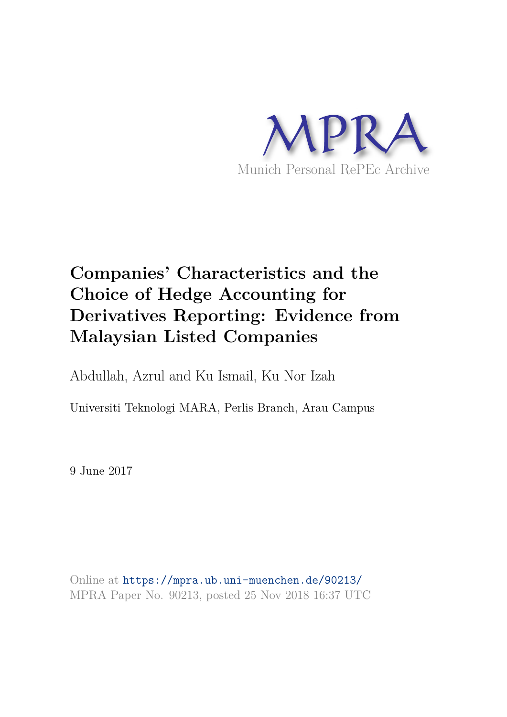

# **Companies' Characteristics and the Choice of Hedge Accounting for Derivatives Reporting: Evidence from Malaysian Listed Companies**

Abdullah, Azrul and Ku Ismail, Ku Nor Izah

Universiti Teknologi MARA, Perlis Branch, Arau Campus

9 June 2017

Online at https://mpra.ub.uni-muenchen.de/90213/ MPRA Paper No. 90213, posted 25 Nov 2018 16:37 UTC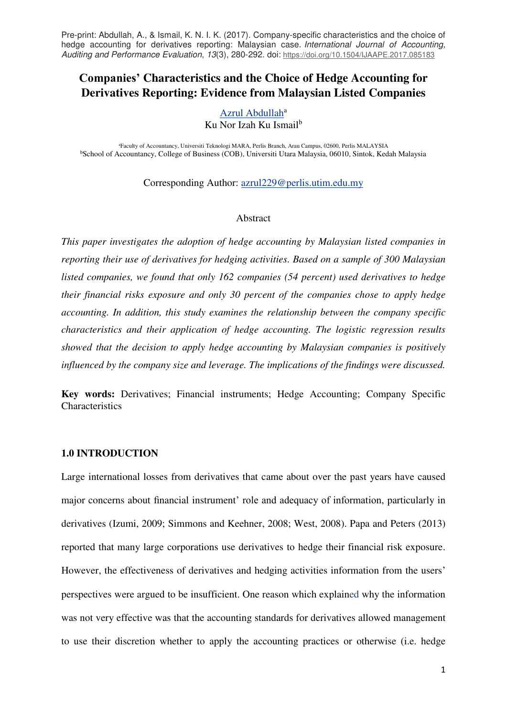# **Companies' Characteristics and the Choice of Hedge Accounting for Derivatives Reporting: Evidence from Malaysian Listed Companies**

#### [Azrul Abdullah](https://papers.ssrn.com/sol3/cf_dev/AbsByAuth.cfm?per_id=852199)<sup>a</sup> Ku Nor Izah Ku Ismail<sup>b</sup>

<sup>a</sup>Faculty of Accountancy, Universiti Teknologi MARA, Perlis Branch, Arau Campus, 02600, Perlis MALAYSIA <sup>b</sup>School of Accountancy, College of Business (COB), Universiti Utara Malaysia, 06010, Sintok, Kedah Malaysia

Corresponding Author: [azrul229@perlis.utim.edu.my](mailto:azrul229@perlis.utim.edu.my)

#### Abstract

*This paper investigates the adoption of hedge accounting by Malaysian listed companies in reporting their use of derivatives for hedging activities. Based on a sample of 300 Malaysian listed companies, we found that only 162 companies (54 percent) used derivatives to hedge their financial risks exposure and only 30 percent of the companies chose to apply hedge accounting. In addition, this study examines the relationship between the company specific characteristics and their application of hedge accounting. The logistic regression results showed that the decision to apply hedge accounting by Malaysian companies is positively influenced by the company size and leverage. The implications of the findings were discussed.* 

**Key words:** Derivatives; Financial instruments; Hedge Accounting; Company Specific **Characteristics** 

# **1.0 INTRODUCTION**

Large international losses from derivatives that came about over the past years have caused major concerns about financial instrument' role and adequacy of information, particularly in derivatives (Izumi, 2009; Simmons and Keehner, 2008; West, 2008). Papa and Peters (2013) reported that many large corporations use derivatives to hedge their financial risk exposure. However, the effectiveness of derivatives and hedging activities information from the users' perspectives were argued to be insufficient. One reason which explained why the information was not very effective was that the accounting standards for derivatives allowed management to use their discretion whether to apply the accounting practices or otherwise (i.e. hedge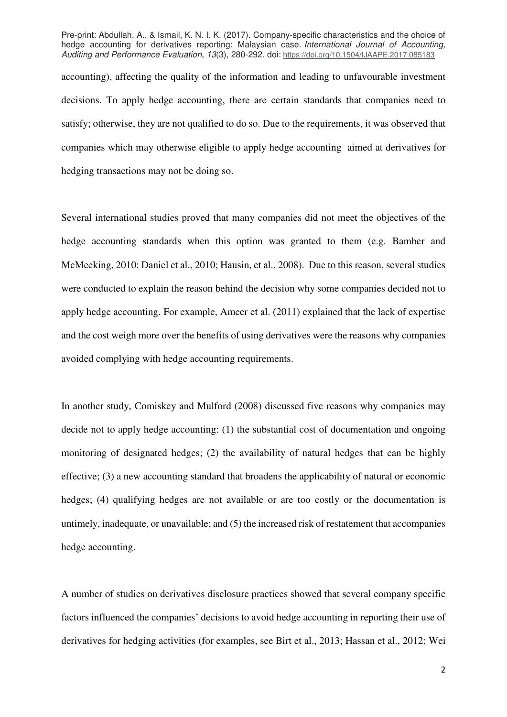accounting), affecting the quality of the information and leading to unfavourable investment decisions. To apply hedge accounting, there are certain standards that companies need to satisfy; otherwise, they are not qualified to do so. Due to the requirements, it was observed that companies which may otherwise eligible to apply hedge accounting aimed at derivatives for hedging transactions may not be doing so.

Several international studies proved that many companies did not meet the objectives of the hedge accounting standards when this option was granted to them (e.g. Bamber and McMeeking, 2010: Daniel et al., 2010; Hausin, et al., 2008). Due to this reason, several studies were conducted to explain the reason behind the decision why some companies decided not to apply hedge accounting. For example, Ameer et al. (2011) explained that the lack of expertise and the cost weigh more over the benefits of using derivatives were the reasons why companies avoided complying with hedge accounting requirements.

In another study, Comiskey and Mulford (2008) discussed five reasons why companies may decide not to apply hedge accounting: (1) the substantial cost of documentation and ongoing monitoring of designated hedges; (2) the availability of natural hedges that can be highly effective; (3) a new accounting standard that broadens the applicability of natural or economic hedges; (4) qualifying hedges are not available or are too costly or the documentation is untimely, inadequate, or unavailable; and (5) the increased risk of restatement that accompanies hedge accounting.

A number of studies on derivatives disclosure practices showed that several company specific factors influenced the companies' decisions to avoid hedge accounting in reporting their use of derivatives for hedging activities (for examples, see Birt et al., 2013; Hassan et al., 2012; Wei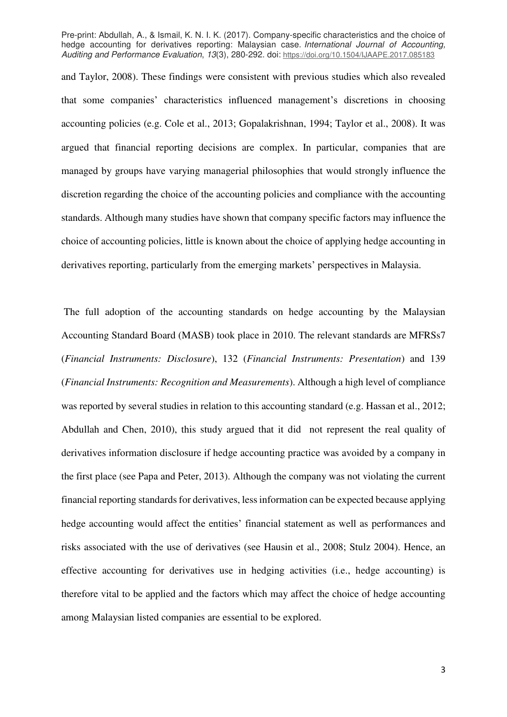and Taylor, 2008). These findings were consistent with previous studies which also revealed that some companies' characteristics influenced management's discretions in choosing accounting policies (e.g. Cole et al., 2013; Gopalakrishnan, 1994; Taylor et al., 2008). It was argued that financial reporting decisions are complex. In particular, companies that are managed by groups have varying managerial philosophies that would strongly influence the discretion regarding the choice of the accounting policies and compliance with the accounting standards. Although many studies have shown that company specific factors may influence the choice of accounting policies, little is known about the choice of applying hedge accounting in derivatives reporting, particularly from the emerging markets' perspectives in Malaysia.

 The full adoption of the accounting standards on hedge accounting by the Malaysian Accounting Standard Board (MASB) took place in 2010. The relevant standards are MFRSs7 (*Financial Instruments: Disclosure*), 132 (*Financial Instruments: Presentation*) and 139 (*Financial Instruments: Recognition and Measurements*). Although a high level of compliance was reported by several studies in relation to this accounting standard (e.g. Hassan et al., 2012; Abdullah and Chen, 2010), this study argued that it did not represent the real quality of derivatives information disclosure if hedge accounting practice was avoided by a company in the first place (see Papa and Peter, 2013). Although the company was not violating the current financial reporting standards for derivatives, less information can be expected because applying hedge accounting would affect the entities' financial statement as well as performances and risks associated with the use of derivatives (see Hausin et al., 2008; Stulz 2004). Hence, an effective accounting for derivatives use in hedging activities (i.e., hedge accounting) is therefore vital to be applied and the factors which may affect the choice of hedge accounting among Malaysian listed companies are essential to be explored.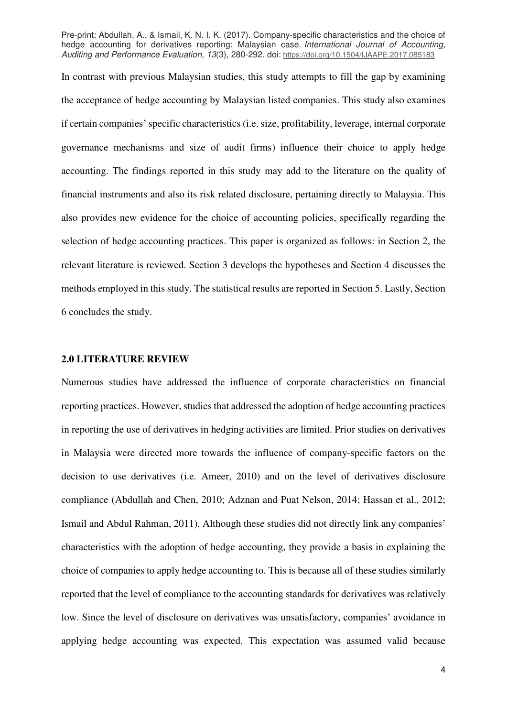In contrast with previous Malaysian studies, this study attempts to fill the gap by examining the acceptance of hedge accounting by Malaysian listed companies. This study also examines if certain companies' specific characteristics (i.e. size, profitability, leverage, internal corporate governance mechanisms and size of audit firms) influence their choice to apply hedge accounting. The findings reported in this study may add to the literature on the quality of financial instruments and also its risk related disclosure, pertaining directly to Malaysia. This also provides new evidence for the choice of accounting policies, specifically regarding the selection of hedge accounting practices. This paper is organized as follows: in Section 2, the relevant literature is reviewed. Section 3 develops the hypotheses and Section 4 discusses the methods employed in this study. The statistical results are reported in Section 5. Lastly, Section 6 concludes the study.

#### **2.0 LITERATURE REVIEW**

Numerous studies have addressed the influence of corporate characteristics on financial reporting practices. However, studies that addressed the adoption of hedge accounting practices in reporting the use of derivatives in hedging activities are limited. Prior studies on derivatives in Malaysia were directed more towards the influence of company-specific factors on the decision to use derivatives (i.e. Ameer, 2010) and on the level of derivatives disclosure compliance (Abdullah and Chen, 2010; Adznan and Puat Nelson, 2014; Hassan et al., 2012; Ismail and Abdul Rahman, 2011). Although these studies did not directly link any companies' characteristics with the adoption of hedge accounting, they provide a basis in explaining the choice of companies to apply hedge accounting to. This is because all of these studies similarly reported that the level of compliance to the accounting standards for derivatives was relatively low. Since the level of disclosure on derivatives was unsatisfactory, companies' avoidance in applying hedge accounting was expected. This expectation was assumed valid because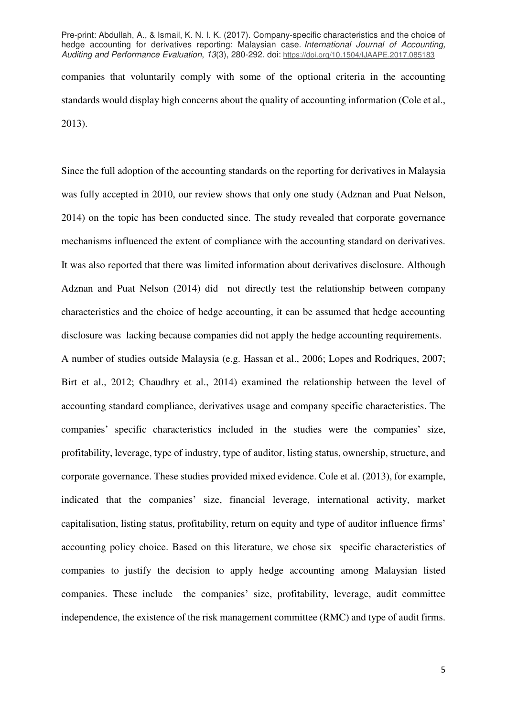companies that voluntarily comply with some of the optional criteria in the accounting standards would display high concerns about the quality of accounting information (Cole et al., 2013).

Since the full adoption of the accounting standards on the reporting for derivatives in Malaysia was fully accepted in 2010, our review shows that only one study (Adznan and Puat Nelson, 2014) on the topic has been conducted since. The study revealed that corporate governance mechanisms influenced the extent of compliance with the accounting standard on derivatives. It was also reported that there was limited information about derivatives disclosure. Although Adznan and Puat Nelson (2014) did not directly test the relationship between company characteristics and the choice of hedge accounting, it can be assumed that hedge accounting disclosure was lacking because companies did not apply the hedge accounting requirements. A number of studies outside Malaysia (e.g. Hassan et al., 2006; Lopes and Rodriques, 2007; Birt et al., 2012; Chaudhry et al., 2014) examined the relationship between the level of accounting standard compliance, derivatives usage and company specific characteristics. The companies' specific characteristics included in the studies were the companies' size, profitability, leverage, type of industry, type of auditor, listing status, ownership, structure, and corporate governance. These studies provided mixed evidence. Cole et al. (2013), for example, indicated that the companies' size, financial leverage, international activity, market capitalisation, listing status, profitability, return on equity and type of auditor influence firms' accounting policy choice. Based on this literature, we chose six specific characteristics of companies to justify the decision to apply hedge accounting among Malaysian listed companies. These include the companies' size, profitability, leverage, audit committee independence, the existence of the risk management committee (RMC) and type of audit firms.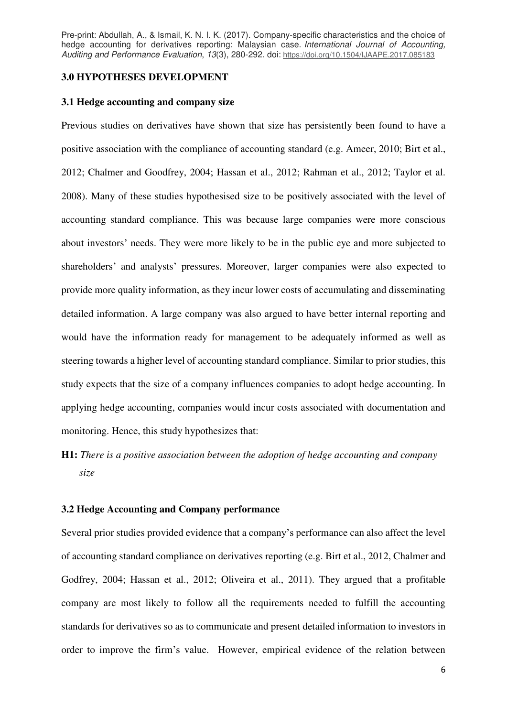#### **3.0 HYPOTHESES DEVELOPMENT**

# **3.1 Hedge accounting and company size**

Previous studies on derivatives have shown that size has persistently been found to have a positive association with the compliance of accounting standard (e.g. Ameer, 2010; Birt et al., 2012; Chalmer and Goodfrey, 2004; Hassan et al., 2012; Rahman et al., 2012; Taylor et al. 2008). Many of these studies hypothesised size to be positively associated with the level of accounting standard compliance. This was because large companies were more conscious about investors' needs. They were more likely to be in the public eye and more subjected to shareholders' and analysts' pressures. Moreover, larger companies were also expected to provide more quality information, as they incur lower costs of accumulating and disseminating detailed information. A large company was also argued to have better internal reporting and would have the information ready for management to be adequately informed as well as steering towards a higher level of accounting standard compliance. Similar to prior studies, this study expects that the size of a company influences companies to adopt hedge accounting. In applying hedge accounting, companies would incur costs associated with documentation and monitoring. Hence, this study hypothesizes that:

**H1:** *There is a positive association between the adoption of hedge accounting and company size* 

# **3.2 Hedge Accounting and Company performance**

Several prior studies provided evidence that a company's performance can also affect the level of accounting standard compliance on derivatives reporting (e.g. Birt et al., 2012, Chalmer and Godfrey, 2004; Hassan et al., 2012; Oliveira et al., 2011). They argued that a profitable company are most likely to follow all the requirements needed to fulfill the accounting standards for derivatives so as to communicate and present detailed information to investors in order to improve the firm's value. However, empirical evidence of the relation between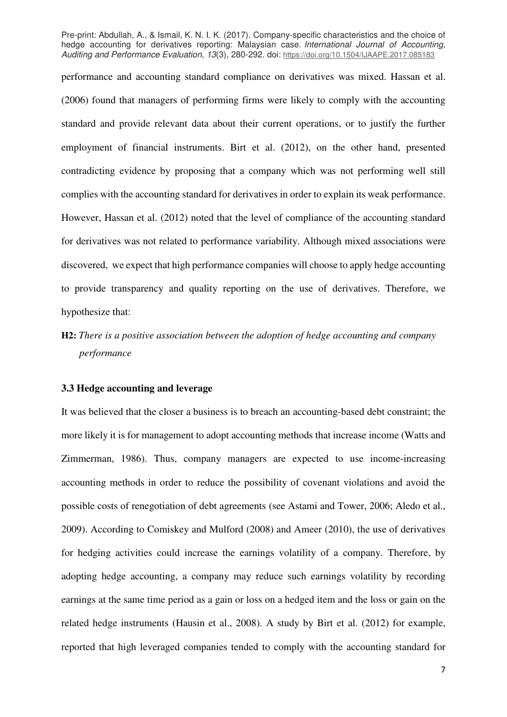performance and accounting standard compliance on derivatives was mixed. Hassan et al. (2006) found that managers of performing firms were likely to comply with the accounting standard and provide relevant data about their current operations, or to justify the further employment of financial instruments. Birt et al. (2012), on the other hand, presented contradicting evidence by proposing that a company which was not performing well still complies with the accounting standard for derivatives in order to explain its weak performance. However, Hassan et al. (2012) noted that the level of compliance of the accounting standard for derivatives was not related to performance variability. Although mixed associations were discovered, we expect that high performance companies will choose to apply hedge accounting to provide transparency and quality reporting on the use of derivatives. Therefore, we hypothesize that:

**H2:** *There is a positive association between the adoption of hedge accounting and company performance* 

# **3.3 Hedge accounting and leverage**

It was believed that the closer a business is to breach an accounting-based debt constraint; the more likely it is for management to adopt accounting methods that increase income (Watts and Zimmerman, 1986). Thus, company managers are expected to use income-increasing accounting methods in order to reduce the possibility of covenant violations and avoid the possible costs of renegotiation of debt agreements (see Astami and Tower, 2006; Aledo et al., 2009). According to Comiskey and Mulford (2008) and Ameer (2010), the use of derivatives for hedging activities could increase the earnings volatility of a company. Therefore, by adopting hedge accounting, a company may reduce such earnings volatility by recording earnings at the same time period as a gain or loss on a hedged item and the loss or gain on the related hedge instruments (Hausin et al., 2008). A study by Birt et al. (2012) for example, reported that high leveraged companies tended to comply with the accounting standard for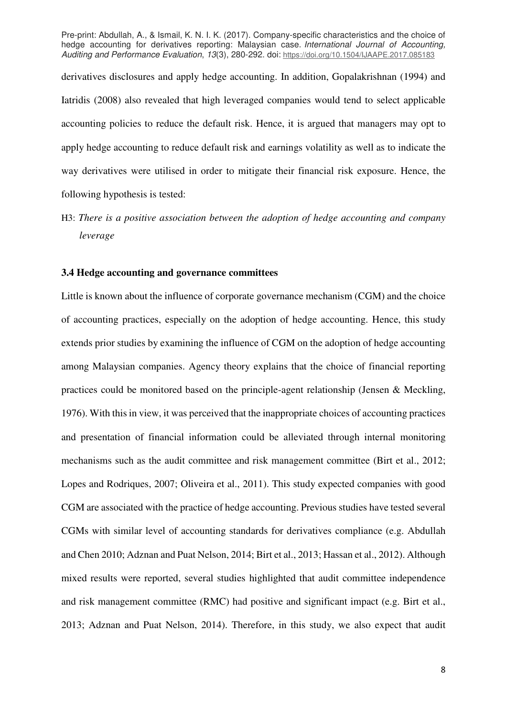derivatives disclosures and apply hedge accounting. In addition, Gopalakrishnan (1994) and Iatridis (2008) also revealed that high leveraged companies would tend to select applicable accounting policies to reduce the default risk. Hence, it is argued that managers may opt to apply hedge accounting to reduce default risk and earnings volatility as well as to indicate the way derivatives were utilised in order to mitigate their financial risk exposure. Hence, the following hypothesis is tested:

H3: *There is a positive association between the adoption of hedge accounting and company leverage* 

### **3.4 Hedge accounting and governance committees**

Little is known about the influence of corporate governance mechanism (CGM) and the choice of accounting practices, especially on the adoption of hedge accounting. Hence, this study extends prior studies by examining the influence of CGM on the adoption of hedge accounting among Malaysian companies. Agency theory explains that the choice of financial reporting practices could be monitored based on the principle-agent relationship (Jensen & Meckling, 1976). With this in view, it was perceived that the inappropriate choices of accounting practices and presentation of financial information could be alleviated through internal monitoring mechanisms such as the audit committee and risk management committee (Birt et al., 2012; Lopes and Rodriques, 2007; Oliveira et al., 2011). This study expected companies with good CGM are associated with the practice of hedge accounting. Previous studies have tested several CGMs with similar level of accounting standards for derivatives compliance (e.g. Abdullah and Chen 2010; Adznan and Puat Nelson, 2014; Birt et al., 2013; Hassan et al., 2012). Although mixed results were reported, several studies highlighted that audit committee independence and risk management committee (RMC) had positive and significant impact (e.g. Birt et al., 2013; Adznan and Puat Nelson, 2014). Therefore, in this study, we also expect that audit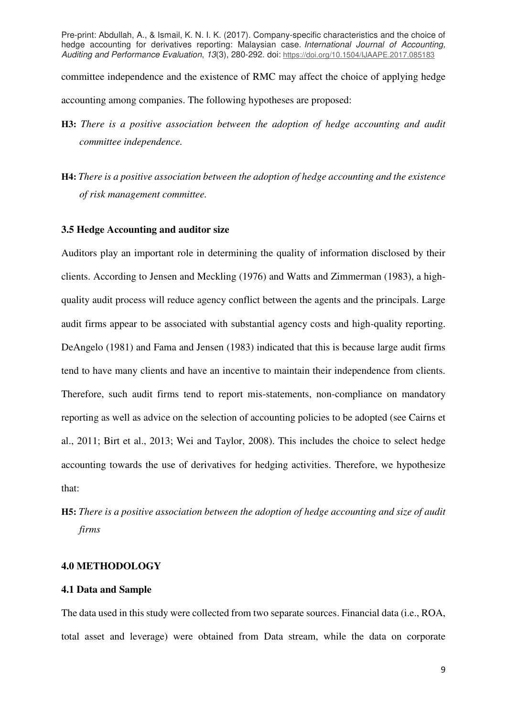committee independence and the existence of RMC may affect the choice of applying hedge accounting among companies. The following hypotheses are proposed:

- **H3:** *There is a positive association between the adoption of hedge accounting and audit committee independence.*
- **H4:** *There is a positive association between the adoption of hedge accounting and the existence of risk management committee.*

## **3.5 Hedge Accounting and auditor size**

Auditors play an important role in determining the quality of information disclosed by their clients. According to Jensen and Meckling (1976) and Watts and Zimmerman (1983), a highquality audit process will reduce agency conflict between the agents and the principals. Large audit firms appear to be associated with substantial agency costs and high-quality reporting. DeAngelo (1981) and Fama and Jensen (1983) indicated that this is because large audit firms tend to have many clients and have an incentive to maintain their independence from clients. Therefore, such audit firms tend to report mis-statements, non-compliance on mandatory reporting as well as advice on the selection of accounting policies to be adopted (see Cairns et al., 2011; Birt et al., 2013; Wei and Taylor, 2008). This includes the choice to select hedge accounting towards the use of derivatives for hedging activities. Therefore, we hypothesize that:

# **H5:** *There is a positive association between the adoption of hedge accounting and size of audit firms*

## **4.0 METHODOLOGY**

# **4.1 Data and Sample**

The data used in this study were collected from two separate sources. Financial data (i.e., ROA, total asset and leverage) were obtained from Data stream, while the data on corporate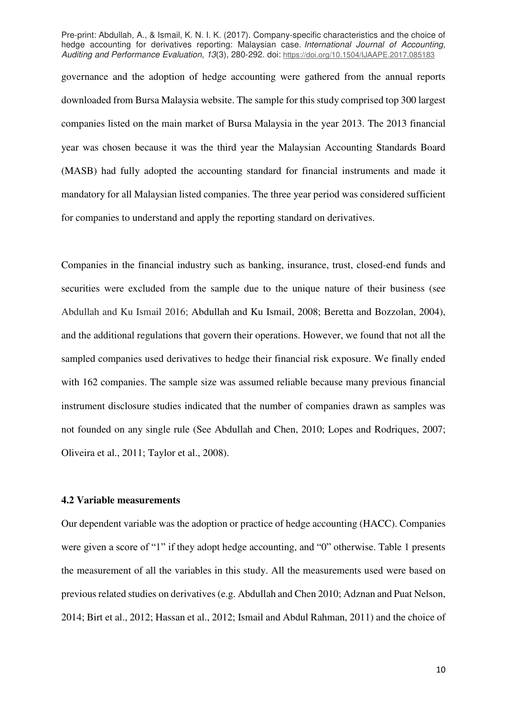governance and the adoption of hedge accounting were gathered from the annual reports downloaded from Bursa Malaysia website. The sample for this study comprised top 300 largest companies listed on the main market of Bursa Malaysia in the year 2013. The 2013 financial year was chosen because it was the third year the Malaysian Accounting Standards Board (MASB) had fully adopted the accounting standard for financial instruments and made it mandatory for all Malaysian listed companies. The three year period was considered sufficient for companies to understand and apply the reporting standard on derivatives.

Companies in the financial industry such as banking, insurance, trust, closed-end funds and securities were excluded from the sample due to the unique nature of their business (see Abdullah and Ku Ismail 2016; Abdullah and Ku Ismail, 2008; Beretta and Bozzolan, 2004), and the additional regulations that govern their operations. However, we found that not all the sampled companies used derivatives to hedge their financial risk exposure. We finally ended with 162 companies. The sample size was assumed reliable because many previous financial instrument disclosure studies indicated that the number of companies drawn as samples was not founded on any single rule (See Abdullah and Chen, 2010; Lopes and Rodriques, 2007; Oliveira et al., 2011; Taylor et al., 2008).

# **4.2 Variable measurements**

Our dependent variable was the adoption or practice of hedge accounting (HACC). Companies were given a score of "1" if they adopt hedge accounting, and "0" otherwise. Table 1 presents the measurement of all the variables in this study. All the measurements used were based on previous related studies on derivatives (e.g. Abdullah and Chen 2010; Adznan and Puat Nelson, 2014; Birt et al., 2012; Hassan et al., 2012; Ismail and Abdul Rahman, 2011) and the choice of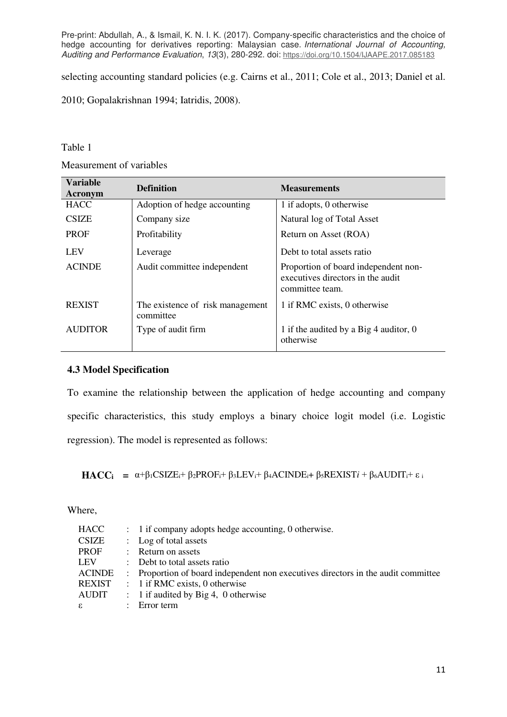selecting accounting standard policies (e.g. Cairns et al., 2011; Cole et al., 2013; Daniel et al.

2010; Gopalakrishnan 1994; Iatridis, 2008).

# Table 1

Measurement of variables

| <b>Variable</b><br>Acronym | <b>Definition</b>                             | <b>Measurements</b>                                                                          |  |  |
|----------------------------|-----------------------------------------------|----------------------------------------------------------------------------------------------|--|--|
| <b>HACC</b>                | Adoption of hedge accounting                  | 1 if adopts, 0 otherwise                                                                     |  |  |
| <b>CSIZE</b>               | Company size                                  | Natural log of Total Asset                                                                   |  |  |
| <b>PROF</b>                | Profitability                                 | Return on Asset (ROA)                                                                        |  |  |
| <b>LEV</b>                 | Leverage                                      | Debt to total assets ratio                                                                   |  |  |
| <b>ACINDE</b>              | Audit committee independent                   | Proportion of board independent non-<br>executives directors in the audit<br>committee team. |  |  |
| <b>REXIST</b>              | The existence of risk management<br>committee | 1 if RMC exists, 0 otherwise                                                                 |  |  |
| <b>AUDITOR</b>             | Type of audit firm                            | 1 if the audited by a Big 4 auditor, 0<br>otherwise                                          |  |  |

# **4.3 Model Specification**

To examine the relationship between the application of hedge accounting and company specific characteristics, this study employs a binary choice logit model (i.e. Logistic regression). The model is represented as follows:

**HACCi** =  $\alpha + \beta_1$ CSIZE<sub>i</sub>+  $\beta_2$ PROF<sub>i</sub>+  $\beta_3$ LEV<sub>i</sub>+  $\beta_4$ ACINDE<sub>i</sub>+  $\beta_5$ REXIST*i* +  $\beta_6$ AUDIT<sub>i</sub>+ ε<sub>i</sub>

Where,

| <b>HACC</b>  |                      | $\therefore$ 1 if company adopts hedge accounting, 0 otherwise.                   |
|--------------|----------------------|-----------------------------------------------------------------------------------|
| <b>CSIZE</b> |                      | : Log of total assets                                                             |
| <b>PROF</b>  |                      | : Return on assets                                                                |
| <b>LEV</b>   |                      | : Debt to total assets ratio                                                      |
| ACINDE       |                      | : Proportion of board independent non executives directors in the audit committee |
| REXIST       |                      | $\therefore$ 1 if RMC exists, 0 otherwise                                         |
| AUDIT        |                      | $\therefore$ 1 if audited by Big 4, 0 otherwise                                   |
| $\epsilon$   | $\ddot{\phantom{0}}$ | Error term                                                                        |
|              |                      |                                                                                   |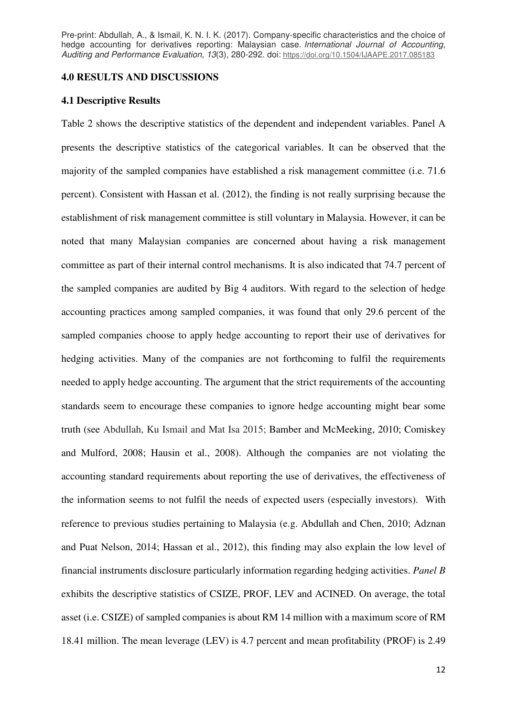#### **4.0 RESULTS AND DISCUSSIONS**

#### **4.1 Descriptive Results**

Table 2 shows the descriptive statistics of the dependent and independent variables. Panel A presents the descriptive statistics of the categorical variables. It can be observed that the majority of the sampled companies have established a risk management committee (i.e. 71.6 percent). Consistent with Hassan et al. (2012), the finding is not really surprising because the establishment of risk management committee is still voluntary in Malaysia. However, it can be noted that many Malaysian companies are concerned about having a risk management committee as part of their internal control mechanisms. It is also indicated that 74.7 percent of the sampled companies are audited by Big 4 auditors. With regard to the selection of hedge accounting practices among sampled companies, it was found that only 29.6 percent of the sampled companies choose to apply hedge accounting to report their use of derivatives for hedging activities. Many of the companies are not forthcoming to fulfil the requirements needed to apply hedge accounting. The argument that the strict requirements of the accounting standards seem to encourage these companies to ignore hedge accounting might bear some truth (see Abdullah, Ku Ismail and Mat Isa 2015; Bamber and McMeeking, 2010; Comiskey and Mulford, 2008; Hausin et al., 2008). Although the companies are not violating the accounting standard requirements about reporting the use of derivatives, the effectiveness of the information seems to not fulfil the needs of expected users (especially investors). With reference to previous studies pertaining to Malaysia (e.g. Abdullah and Chen, 2010; Adznan and Puat Nelson, 2014; Hassan et al., 2012), this finding may also explain the low level of financial instruments disclosure particularly information regarding hedging activities. *Panel B*  exhibits the descriptive statistics of CSIZE, PROF, LEV and ACINED. On average, the total asset (i.e. CSIZE) of sampled companies is about RM 14 million with a maximum score of RM 18.41 million. The mean leverage (LEV) is 4.7 percent and mean profitability (PROF) is 2.49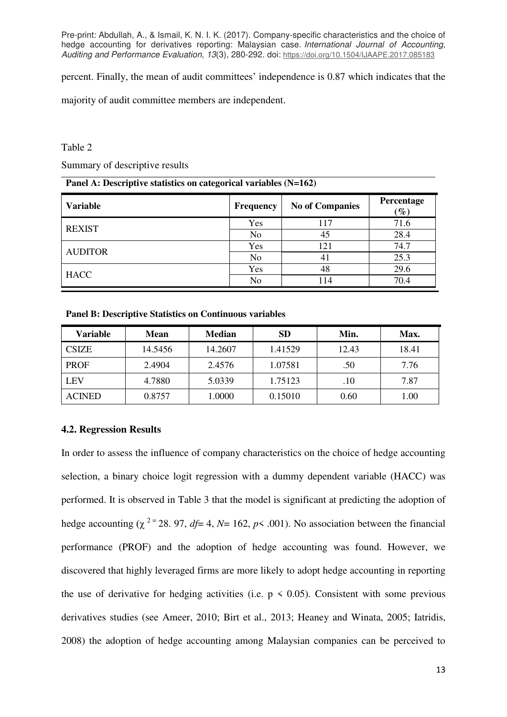percent. Finally, the mean of audit committees' independence is 0.87 which indicates that the

majority of audit committee members are independent.

#### Table 2

Summary of descriptive results

#### **Panel A: Descriptive statistics on categorical variables (N=162)**

| <b>Variable</b> | <b>Frequency</b> | <b>No of Companies</b> | Percentage<br>$\mathscr{G}_o$ |
|-----------------|------------------|------------------------|-------------------------------|
| <b>REXIST</b>   | Yes              | 117                    | 71.6                          |
|                 | N <sub>o</sub>   | 45                     | 28.4                          |
| <b>AUDITOR</b>  | Yes              | 121                    | 74.7                          |
|                 | No               | 41                     | 25.3                          |
| <b>HACC</b>     | Yes              | 48                     | 29.6                          |
|                 | N <sub>o</sub>   | 114                    | 70.4                          |

**Panel B: Descriptive Statistics on Continuous variables** 

| Variable      | Mean    | <b>Median</b> | <b>SD</b> | Min.  | Max.  |
|---------------|---------|---------------|-----------|-------|-------|
| <b>CSIZE</b>  | 14.5456 | 14.2607       | 1.41529   | 12.43 | 18.41 |
| <b>PROF</b>   | 2.4904  | 2.4576        | 1.07581   | .50   | 7.76  |
| <b>LEV</b>    | 4.7880  | 5.0339        | 1.75123   | .10   | 7.87  |
| <b>ACINED</b> | 0.8757  | 1.0000        | 0.15010   | 0.60  | 1.00  |

# **4.2. Regression Results**

In order to assess the influence of company characteristics on the choice of hedge accounting selection, a binary choice logit regression with a dummy dependent variable (HACC) was performed. It is observed in Table 3 that the model is significant at predicting the adoption of hedge accounting ( $\chi^2$ <sup>=</sup> 28. 97, *df*= 4, *N*= 162, *p* < .001). No association between the financial performance (PROF) and the adoption of hedge accounting was found. However, we discovered that highly leveraged firms are more likely to adopt hedge accounting in reporting the use of derivative for hedging activities (i.e.  $p \le 0.05$ ). Consistent with some previous derivatives studies (see Ameer, 2010; Birt et al., 2013; Heaney and Winata, 2005; Iatridis, 2008) the adoption of hedge accounting among Malaysian companies can be perceived to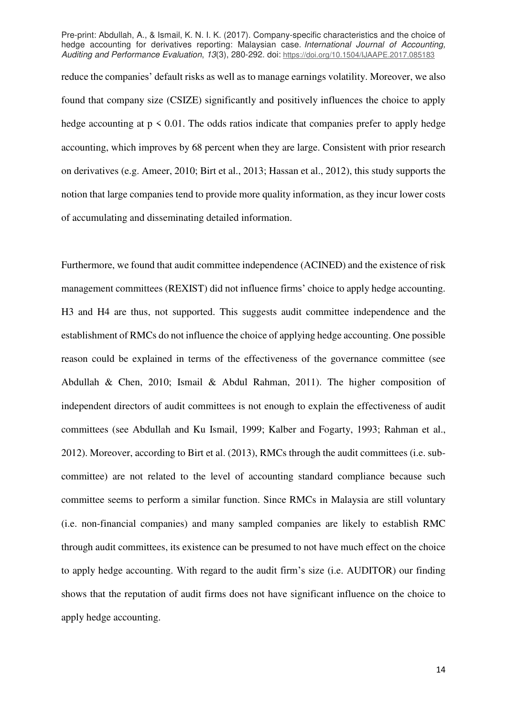reduce the companies' default risks as well as to manage earnings volatility. Moreover, we also found that company size (CSIZE) significantly and positively influences the choice to apply hedge accounting at  $p \leq 0.01$ . The odds ratios indicate that companies prefer to apply hedge accounting, which improves by 68 percent when they are large. Consistent with prior research on derivatives (e.g. Ameer, 2010; Birt et al., 2013; Hassan et al., 2012), this study supports the notion that large companies tend to provide more quality information, as they incur lower costs of accumulating and disseminating detailed information.

Furthermore, we found that audit committee independence (ACINED) and the existence of risk management committees (REXIST) did not influence firms' choice to apply hedge accounting. H3 and H4 are thus, not supported. This suggests audit committee independence and the establishment of RMCs do not influence the choice of applying hedge accounting. One possible reason could be explained in terms of the effectiveness of the governance committee (see Abdullah & Chen, 2010; Ismail & Abdul Rahman, 2011). The higher composition of independent directors of audit committees is not enough to explain the effectiveness of audit committees (see Abdullah and Ku Ismail, 1999; Kalber and Fogarty, 1993; Rahman et al., 2012). Moreover, according to Birt et al. (2013), RMCs through the audit committees (i.e. subcommittee) are not related to the level of accounting standard compliance because such committee seems to perform a similar function. Since RMCs in Malaysia are still voluntary (i.e. non-financial companies) and many sampled companies are likely to establish RMC through audit committees, its existence can be presumed to not have much effect on the choice to apply hedge accounting. With regard to the audit firm's size (i.e. AUDITOR) our finding shows that the reputation of audit firms does not have significant influence on the choice to apply hedge accounting.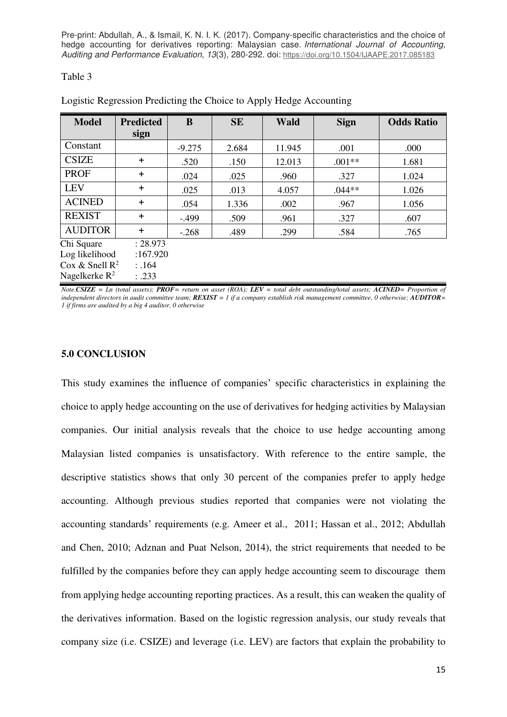#### Table 3

| <b>Model</b>      | <b>Predicted</b><br>sign | B        | <b>SE</b> | <b>Wald</b> | <b>Sign</b> | <b>Odds Ratio</b> |
|-------------------|--------------------------|----------|-----------|-------------|-------------|-------------------|
| Constant          |                          | $-9.275$ | 2.684     | 11.945      | .001        | .000              |
| <b>CSIZE</b>      | $\ddot{}$                | .520     | .150      | 12.013      | $.001**$    | 1.681             |
| <b>PROF</b>       | $\ddot{}$                | .024     | .025      | .960        | .327        | 1.024             |
| <b>LEV</b>        | $\ddot{}$                | .025     | .013      | 4.057       | $.044**$    | 1.026             |
| <b>ACINED</b>     | $\ddot{}$                | .054     | 1.336     | .002        | .967        | 1.056             |
| <b>REXIST</b>     | $\ddot{}$                | $-0.499$ | .509      | .961        | .327        | .607              |
| <b>AUDITOR</b>    | ÷.                       | $-.268$  | .489      | .299        | .584        | .765              |
| Chi Square        | : 28.973                 |          |           |             |             |                   |
| Log likelihood    | :167.920                 |          |           |             |             |                   |
| Cox & Snell $R^2$ | : .164                   |          |           |             |             |                   |
| Nagelkerke $R^2$  | :.233                    |          |           |             |             |                   |

Logistic Regression Predicting the Choice to Apply Hedge Accounting

*Note.CSIZE = Ln (total assets); PROF= return on asset (ROA); LEV = total debt outstanding/total assets; ACINED= Proportion of independent directors in audit committee team; <i>REXIST* = 1 if a company establish risk management committee, 0 otherwise;  $\triangle$  *AUDITOR* = *1 if firms are audited by a big 4 auditor, 0 otherwise* 

#### **5.0 CONCLUSION**

This study examines the influence of companies' specific characteristics in explaining the choice to apply hedge accounting on the use of derivatives for hedging activities by Malaysian companies. Our initial analysis reveals that the choice to use hedge accounting among Malaysian listed companies is unsatisfactory. With reference to the entire sample, the descriptive statistics shows that only 30 percent of the companies prefer to apply hedge accounting. Although previous studies reported that companies were not violating the accounting standards' requirements (e.g. Ameer et al., 2011; Hassan et al., 2012; Abdullah and Chen, 2010; Adznan and Puat Nelson, 2014), the strict requirements that needed to be fulfilled by the companies before they can apply hedge accounting seem to discourage them from applying hedge accounting reporting practices. As a result, this can weaken the quality of the derivatives information. Based on the logistic regression analysis, our study reveals that company size (i.e. CSIZE) and leverage (i.e. LEV) are factors that explain the probability to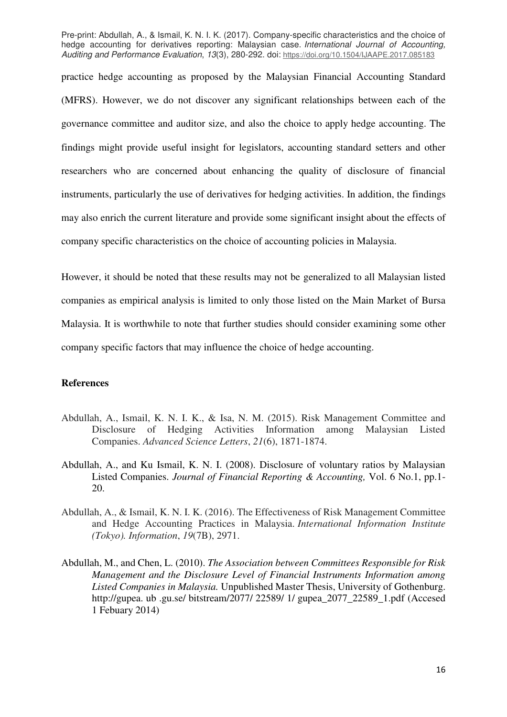practice hedge accounting as proposed by the Malaysian Financial Accounting Standard (MFRS). However, we do not discover any significant relationships between each of the governance committee and auditor size, and also the choice to apply hedge accounting. The findings might provide useful insight for legislators, accounting standard setters and other researchers who are concerned about enhancing the quality of disclosure of financial instruments, particularly the use of derivatives for hedging activities. In addition, the findings may also enrich the current literature and provide some significant insight about the effects of company specific characteristics on the choice of accounting policies in Malaysia.

However, it should be noted that these results may not be generalized to all Malaysian listed companies as empirical analysis is limited to only those listed on the Main Market of Bursa Malaysia. It is worthwhile to note that further studies should consider examining some other company specific factors that may influence the choice of hedge accounting.

### **References**

- Abdullah, A., Ismail, K. N. I. K., & Isa, N. M. (2015). Risk Management Committee and Disclosure of Hedging Activities Information among Malaysian Listed Companies. *Advanced Science Letters*, *21*(6), 1871-1874.
- Abdullah, A., and Ku Ismail, K. N. I. (2008). Disclosure of voluntary ratios by Malaysian Listed Companies. *Journal of Financial Reporting & Accounting,* Vol. 6 No.1, pp.1- 20.
- Abdullah, A., & Ismail, K. N. I. K. (2016). The Effectiveness of Risk Management Committee and Hedge Accounting Practices in Malaysia. *International Information Institute (Tokyo). Information*, *19*(7B), 2971.
- Abdullah, M., and Chen, L. (2010). *The Association between Committees Responsible for Risk Management and the Disclosure Level of Financial Instruments Information among Listed Companies in Malaysia.* Unpublished Master Thesis, University of Gothenburg. http://gupea. ub .gu.se/ bitstream/2077/ 22589/ 1/ gupea\_2077\_22589\_1.pdf (Accesed 1 Febuary 2014)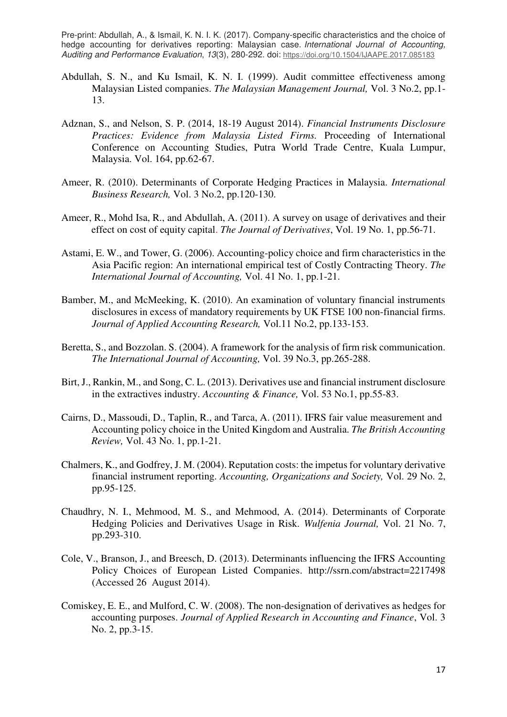- Abdullah, S. N., and Ku Ismail, K. N. I. (1999). Audit committee effectiveness among Malaysian Listed companies. *The Malaysian Management Journal,* Vol. 3 No.2, pp.1- 13.
- Adznan, S., and Nelson, S. P. (2014, 18-19 August 2014). *Financial Instruments Disclosure Practices: Evidence from Malaysia Listed Firms.* Proceeding of International Conference on Accounting Studies, Putra World Trade Centre, Kuala Lumpur, Malaysia. Vol. 164, pp.62-67.
- Ameer, R. (2010). Determinants of Corporate Hedging Practices in Malaysia. *International Business Research,* Vol. 3 No.2, pp.120-130.
- Ameer, R., Mohd Isa, R., and Abdullah, A. (2011). A survey on usage of derivatives and their effect on cost of equity capital. *The Journal of Derivatives*, Vol. 19 No. 1, pp.56-71.
- Astami, E. W., and Tower, G. (2006). Accounting-policy choice and firm characteristics in the Asia Pacific region: An international empirical test of Costly Contracting Theory. *The International Journal of Accounting,* Vol. 41 No. 1, pp.1-21.
- Bamber, M., and McMeeking, K. (2010). An examination of voluntary financial instruments disclosures in excess of mandatory requirements by UK FTSE 100 non-financial firms. *Journal of Applied Accounting Research,* Vol.11 No.2, pp.133-153.
- Beretta, S., and Bozzolan. S. (2004). A framework for the analysis of firm risk communication. *The International Journal of Accounting,* Vol. 39 No.3, pp.265-288.
- Birt, J., Rankin, M., and Song, C. L. (2013). Derivatives use and financial instrument disclosure in the extractives industry. *Accounting & Finance,* Vol. 53 No.1, pp.55-83.
- Cairns, D., Massoudi, D., Taplin, R., and Tarca, A. (2011). IFRS fair value measurement and Accounting policy choice in the United Kingdom and Australia. *The British Accounting Review,* Vol. 43 No. 1, pp.1-21.
- Chalmers, K., and Godfrey, J. M. (2004). Reputation costs: the impetus for voluntary derivative financial instrument reporting. *Accounting, Organizations and Society,* Vol. 29 No. 2, pp.95-125.
- Chaudhry, N. I., Mehmood, M. S., and Mehmood, A. (2014). Determinants of Corporate Hedging Policies and Derivatives Usage in Risk. *Wulfenia Journal,* Vol. 21 No. 7, pp.293-310.
- Cole, V., Branson, J., and Breesch, D. (2013). Determinants influencing the IFRS Accounting Policy Choices of European Listed Companies. <http://ssrn.com/abstract=2217498> (Accessed 26 August 2014).
- Comiskey, E. E., and Mulford, C. W. (2008). The non-designation of derivatives as hedges for accounting purposes. *Journal of Applied Research in Accounting and Finance*, Vol. 3 No. 2, pp.3-15.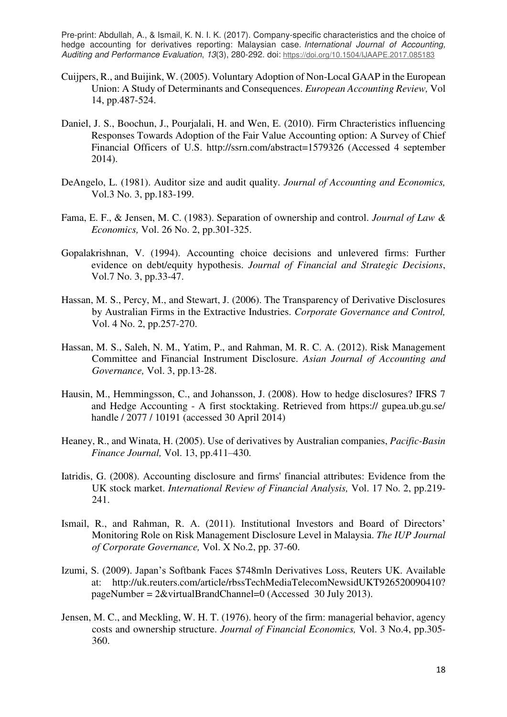- Cuijpers, R., and Buijink, W. (2005). Voluntary Adoption of Non-Local GAAP in the European Union: A Study of Determinants and Consequences. *European Accounting Review,* Vol 14, pp.487-524.
- Daniel, J. S., Boochun, J., Pourjalali, H. and Wen, E. (2010). Firm Chracteristics influencing Responses Towards Adoption of the Fair Value Accounting option: A Survey of Chief Financial Officers of U.S.<http://ssrn.com/abstract=1579326>(Accessed 4 september 2014).
- DeAngelo, L. (1981). Auditor size and audit quality. *Journal of Accounting and Economics,*  Vol.3 No. 3, pp.183-199.
- Fama, E. F., & Jensen, M. C. (1983). Separation of ownership and control. *Journal of Law & Economics,* Vol. 26 No. 2, pp.301-325.
- Gopalakrishnan, V. (1994). Accounting choice decisions and unlevered firms: Further evidence on debt/equity hypothesis. *Journal of Financial and Strategic Decisions*, Vol.7 No. 3, pp.33-47.
- Hassan, M. S., Percy, M., and Stewart, J. (2006). The Transparency of Derivative Disclosures by Australian Firms in the Extractive Industries. *Corporate Governance and Control,*  Vol. 4 No. 2, pp.257-270.
- Hassan, M. S., Saleh, N. M., Yatim, P., and Rahman, M. R. C. A. (2012). Risk Management Committee and Financial Instrument Disclosure. *Asian Journal of Accounting and Governance,* Vol. 3, pp.13-28.
- Hausin, M., Hemmingsson, C., and Johansson, J. (2008). How to hedge disclosures? IFRS 7 and Hedge Accounting - A first stocktaking. Retrieved from https:// gupea.ub.gu.se/ handle / 2077 / 10191 (accessed 30 April 2014)
- Heaney, R., and Winata, H. (2005). Use of derivatives by Australian companies, *Pacific-Basin Finance Journal,* Vol. 13, pp.411–430.
- Iatridis, G. (2008). Accounting disclosure and firms' financial attributes: Evidence from the UK stock market. *International Review of Financial Analysis,* Vol. 17 No. 2, pp.219- 241.
- Ismail, R., and Rahman, R. A. (2011). Institutional Investors and Board of Directors' Monitoring Role on Risk Management Disclosure Level in Malaysia. *The IUP Journal of Corporate Governance,* Vol. X No.2, pp. 37-60.
- Izumi, S. (2009). Japan's Softbank Faces \$748mln Derivatives Loss, Reuters UK. Available at: http://uk.reuters.com/article/rbssTechMediaTelecomNewsidUKT926520090410? pageNumber = 2&virtualBrandChannel=0 (Accessed 30 July 2013).
- Jensen, M. C., and Meckling, W. H. T. (1976). heory of the firm: managerial behavior, agency costs and ownership structure. *Journal of Financial Economics,* Vol. 3 No.4, pp.305- 360.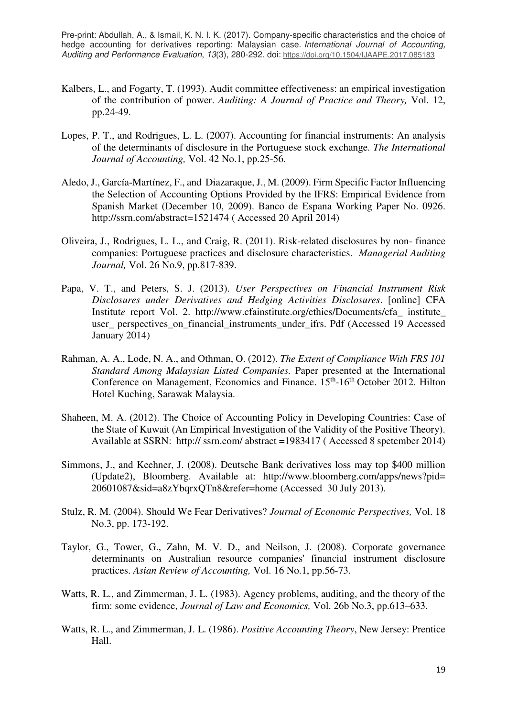- Kalbers, L., and Fogarty, T. (1993). Audit committee effectiveness: an empirical investigation of the contribution of power. *Auditing: A Journal of Practice and Theory,* Vol. 12, pp.24-49.
- Lopes, P. T., and Rodrigues, L. L. (2007). Accounting for financial instruments: An analysis of the determinants of disclosure in the Portuguese stock exchange. *The International Journal of Accounting,* Vol. 42 No.1, pp.25-56.
- Aledo, J., García-Martínez, F., and Diazaraque, J., M. (2009). Firm Specific Factor Influencing the Selection of Accounting Options Provided by the IFRS: Empirical Evidence from Spanish Market (December 10, 2009). Banco de Espana Working Paper No. 0926. <http://ssrn.com/abstract=1521474>( Accessed 20 April 2014)
- Oliveira, J., Rodrigues, L. L., and Craig, R. (2011). Risk-related disclosures by non- finance companies: Portuguese practices and disclosure characteristics. *Managerial Auditing Journal,* Vol. 26 No.9, pp.817-839.
- Papa, V. T., and Peters, S. J. (2013). *User Perspectives on Financial Instrument Risk Disclosures under Derivatives and Hedging Activities Disclosures*. [online] CFA Institut*e* report Vol. 2. http://www.cfainstitute.org/ethics/Documents/cfa\_ institute\_ user\_ perspectives\_on\_financial\_instruments\_under\_ifrs. Pdf (Accessed 19 Accessed January 2014)
- Rahman, A. A., Lode, N. A., and Othman, O. (2012). *The Extent of Compliance With FRS 101 Standard Among Malaysian Listed Companies.* Paper presented at the International Conference on Management, Economics and Finance. 15<sup>th</sup>-16<sup>th</sup> October 2012. Hilton Hotel Kuching, Sarawak Malaysia.
- Shaheen, M. A. (2012). The Choice of Accounting Policy in Developing Countries: Case of the State of Kuwait (An Empirical Investigation of the Validity of the Positive Theory). Available at SSRN: http:// ssrn.com/ abstract =1983417 ( Accessed 8 spetember 2014)
- Simmons, J., and Keehner, J. (2008). Deutsche Bank derivatives loss may top \$400 million (Update2), Bloomberg. Available at: http://www.bloomberg.com/apps/news?pid= 20601087&sid=a8zYbqrxQTn8&refer=home (Accessed 30 July 2013).
- Stulz, R. M. (2004). Should We Fear Derivatives? *Journal of Economic Perspectives,* Vol. 18 No.3, pp. 173-192.
- Taylor, G., Tower, G., Zahn, M. V. D., and Neilson, J. (2008). Corporate governance determinants on Australian resource companies' financial instrument disclosure practices. *Asian Review of Accounting,* Vol. 16 No.1, pp.56-73.
- Watts, R. L., and Zimmerman, J. L. (1983). Agency problems, auditing, and the theory of the firm: some evidence, *Journal of Law and Economics,* Vol. 26b No.3, pp.613–633.
- Watts, R. L., and Zimmerman, J. L. (1986). *Positive Accounting Theory*, New Jersey: Prentice Hall.